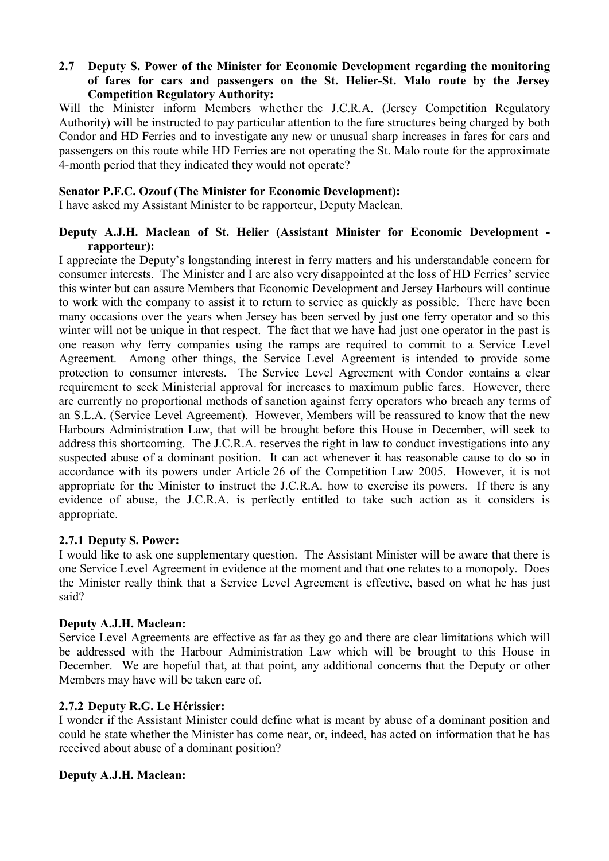#### **2.7** � **Deputy S. Power of the Minister for Economic Development regarding the monitoring of fares for cars and passengers on the St. Helier-St. Malo route by the Jersey Competition Regulatory Authority:**

Will the Minister inform Members whether the J.C.R.A. (Jersey Competition Regulatory Authority) will be instructed to pay particular attention to the fare structures being charged by both Condor and HD Ferries and to investigate any new or unusual sharp increases in fares for cars and passengers on this route while HD Ferries are not operating the St. Malo route for the approximate 4-month period that they indicated they would not operate?

#### **Senator P.F.C. Ozouf (The Minister for Economic Development):**

I have asked my Assistant Minister to be rapporteur, Deputy Maclean.

#### **Deputy A.J.H. Maclean of St. Helier (Assistant Minister for Economic Development rapporteur):**

I appreciate the Deputy's longstanding interest in ferry matters and his understandable concern for consumer interests. The Minister and I are also very disappointed at the loss of HD Ferries' service this winter but can assure Members that Economic Development and Jersey Harbours will continue to work with the company to assist it to return to service as quickly as possible. There have been many occasions over the years when Jersey has been served by just one ferry operator and so this winter will not be unique in that respect. The fact that we have had just one operator in the past is one reason why ferry companies using the ramps are required to commit to a Service Level Agreement. Among other things, the Service Level Agreement is intended to provide some protection to consumer interests. The Service Level Agreement with Condor contains a clear requirement to seek Ministerial approval for increases to maximum public fares. However, there are currently no proportional methods of sanction against ferry operators who breach any terms of an S.L.A. (Service Level Agreement). However, Members will be reassured to know that the new Harbours Administration Law, that will be brought before this House in December, will seek to address this shortcoming. The J.C.R.A. reserves the right in law to conduct investigations into any suspected abuse of a dominant position. It can act whenever it has reasonable cause to do so in accordance with its powers under Article 26 of the Competition Law 2005. However, it is not appropriate for the Minister to instruct the J.C.R.A. how to exercise its powers. If there is any evidence of abuse, the J.C.R.A. is perfectly entitled to take such action as it considers is appropriate.

## **2.7.1 Deputy S. Power:**

I would like to ask one supplementary question. The Assistant Minister will be aware that there is one Service Level Agreement in evidence at the moment and that one relates to a monopoly. Does the Minister really think that a Service Level Agreement is effective, based on what he has just said?

## **Deputy A.J.H. Maclean:**

Service Level Agreements are effective as far as they go and there are clear limitations which will be addressed with the Harbour Administration Law which will be brought to this House in December. We are hopeful that, at that point, any additional concerns that the Deputy or other Members may have will be taken care of.

## **2.7.2 Deputy R.G. Le Hérissier:**

I wonder if the Assistant Minister could define what is meant by abuse of a dominant position and could he state whether the Minister has come near, or, indeed, has acted on information that he has received about abuse of a dominant position?

## **Deputy A.J.H. Maclean:**